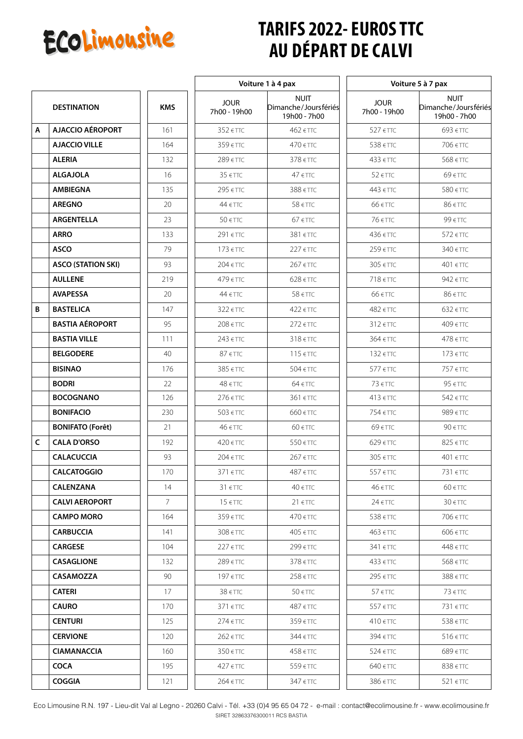

## **TARIFS 2022- EUROS TTC AU DÉPART DE CALVI**

|              |                           |               | Voiture 1 à 4 pax           |                                                     | Voiture 5 à 7 pax           |                                                     |
|--------------|---------------------------|---------------|-----------------------------|-----------------------------------------------------|-----------------------------|-----------------------------------------------------|
|              | <b>DESTINATION</b>        | <b>KMS</b>    | <b>JOUR</b><br>7h00 - 19h00 | <b>NUIT</b><br>Dimanche/Joursfériés<br>19h00 - 7h00 | <b>JOUR</b><br>7h00 - 19h00 | <b>NUIT</b><br>Dimanche/Joursfériés<br>19h00 - 7h00 |
| Α            | <b>AJACCIO AÉROPORT</b>   | 161           | 352 € TTC                   | 462 € TTC                                           | 527 € TTC                   | 693 € TTC                                           |
|              | <b>AJACCIO VILLE</b>      | 164           | 359 € TTC                   | 470 € TTC                                           | 538 € TTC                   | 706 € TTC                                           |
|              | <b>ALERIA</b>             | 132           | 289 € TTC                   | 378 € TTC                                           | 433 € TTC                   | 568 € TTC                                           |
|              | <b>ALGAJOLA</b>           | 16            | $35 \text{ f}$              | $47 \text{ f}$                                      | $52$ $\epsilon$ TTC         | 69 € TTC                                            |
|              | <b>AMBIEGNA</b>           | 135           | 295 € TTC                   | 388 € TTC                                           | 443 € TTC                   | 580 € TTC                                           |
|              | <b>AREGNO</b>             | 20            | 44 € TTC                    | $58 \in TTC$                                        | 66 € TTC                    | 86 € TTC                                            |
|              | <b>ARGENTELLA</b>         | 23            | 50 € TTC                    | $67$ $\epsilon$ TTC                                 | 76 € TTC                    | 99 € TTC                                            |
|              | <b>ARRO</b>               | 133           | 291 € TTC                   | 381 €TTC                                            | 436 € TTC                   | 572 € TTC                                           |
|              | <b>ASCO</b>               | 79            | 173 € TTC                   | 227 € TTC                                           | 259 € TTC                   | 340 € TTC                                           |
|              | <b>ASCO (STATION SKI)</b> | 93            | $204 \in TTC$               | 267 € TTC                                           | 305 € TTC                   | 401 € TTC                                           |
|              | <b>AULLENE</b>            | 219           | 479 € TTC                   | 628 € TTC                                           | $718 \text{ f}$ TTC         | 942 $\epsilon$ TTC                                  |
|              | <b>AVAPESSA</b>           | 20            | 44 € TTC                    | $58 \in TTC$                                        | 66 € TTC                    | 86 € TTC                                            |
| B            | <b>BASTELICA</b>          | 147           | 322 € TTC                   | 422 $\epsilon$ TTC                                  | 482 € TTC                   | $632$ $\epsilon$ TTC                                |
|              | <b>BASTIA AÉROPORT</b>    | 95            | 208 € TTC                   | 272 € TTC                                           | 312 € TTC                   | 409 € TTC                                           |
|              | <b>BASTIA VILLE</b>       | 111           | 243 € TTC                   | 318 € TTC                                           | 364 € TTC                   | 478 € TTC                                           |
|              | <b>BELGODERE</b>          | 40            | $87 \text{ f}$              | $115$ $\epsilon$ TTC                                | $132$ $\epsilon$ TTC        | $173$ $\epsilon$ TTC                                |
|              | <b>BISINAO</b>            | 176           | 385 € TTC                   | 504 € TTC                                           | 577 € TTC                   | 757 € TTC                                           |
|              | <b>BODRI</b>              | 22            | 48 € TTC                    | 64 € TTC                                            | $73$ $\epsilon$ TTC         | 95 € TTC                                            |
|              | <b>BOCOGNANO</b>          | 126           | 276 € TTC                   | 361 € TTC                                           | $413$ $\in$ TTC             | 542 € TTC                                           |
|              | <b>BONIFACIO</b>          | 230           | 503 € TTC                   | 660 € TTC                                           | 754 € TTC                   | 989 € TTC                                           |
|              | <b>BONIFATO (Forêt)</b>   | 21            | 46 € TTC                    | $60$ $\in$ TTC                                      | $69$ $\epsilon$ TTC         | 90 € TTC                                            |
| $\mathsf{C}$ | <b>CALA D'ORSO</b>        | 192           | 420 € TTC                   | 550 € TTC                                           | 629 € TTC                   | 825 € TTC                                           |
|              | <b>CALACUCCIA</b>         | 93            | 204 € TTC                   | 267 € TTC                                           | 305 € TTC                   | 401 € TTC                                           |
|              | <b>CALCATOGGIO</b>        | 170           | 371 €TTC                    | 487 € TTC                                           | 557 €TTC                    | 731 €TTC                                            |
|              | <b>CALENZANA</b>          | 14            | $31$ $\epsilon$ TTC         | $40 \text{ fT}$                                     | 46 € TTC                    | $60$ $\epsilon$ TTC                                 |
|              | <b>CALVI AEROPORT</b>     | $\mathcal{I}$ | $15 \text{ } \in$ TTC       | $21$ $\epsilon$ TTC                                 | $24$ $\epsilon$ TTC         | $30 \text{ fT}$                                     |
|              | <b>CAMPO MORO</b>         | 164           | $359$ $\in$ TTC             | $470$ $\in$ TTC                                     | 538 € TTC                   | 706 € TTC                                           |
|              | <b>CARBUCCIA</b>          | 141           | $308$ $\in$ TTC             | $405$ $\in$ TTC                                     | 463 € TTC                   | 606 € TTC                                           |
|              | <b>CARGESE</b>            | 104           | 227 € TTC                   | 299 € TTC                                           | $341$ $\in$ TTC             | 448 € TTC                                           |
|              | <b>CASAGLIONE</b>         | 132           | 289 € TTC                   | $378$ $\in$ TTC                                     | $433$ $\in$ TTC             | 568 € TTC                                           |
|              | <b>CASAMOZZA</b>          | 90            | 197 € TTC                   | $258$ $\in$ TTC                                     | 295 € TTC                   | 388 € TTC                                           |
|              | <b>CATERI</b>             | 17            | $38 \text{ fT}$             | $50$ $\in$ TTC                                      | $57$ $\epsilon$ TTC         | $73$ $\epsilon$ TTC                                 |
|              | <b>CAURO</b>              | 170           | $371$ $\in$ TTC             | 487 € TTC                                           | 557 €TTC                    | 731 € TTC                                           |
|              | <b>CENTURI</b>            | 125           | 274 € TTC                   | $359$ $\in$ TTC                                     | $410$ $\epsilon$ TTC        | $538$ $\in$ TTC                                     |
|              | <b>CERVIONE</b>           | 120           | 262 € TTC                   | $344 \text{ ETTC}$                                  | 394 € TTC                   | $516$ $\in$ TTC                                     |
|              | <b>CIAMANACCIA</b>        | 160           | $350$ $\in$ TTC             | $458$ $\in$ TTC                                     | 524 € TTC                   | 689 € TTC                                           |
|              | <b>COCA</b>               | 195           | $427$ $\in$ TTC             | $559$ $\in$ TTC                                     | $640$ $\in$ TTC             | $838$ $\in$ TTC                                     |
|              | <b>COGGIA</b>             | 121           | $264$ $\in$ TTC             | $347$ $\epsilon$ TTC                                | $386$ $\in$ TTC             | $521$ $\epsilon$ TTC                                |

Eco Limousine R.N. 197 - Lieu-dit Val al Legno - 20260 Calvi - Tél. +33 (0)4 95 65 04 72 - e-mail : contact@ecolimousine.fr - www.ecolimousine.fr SIRET 32863376300011 RCS BASTIA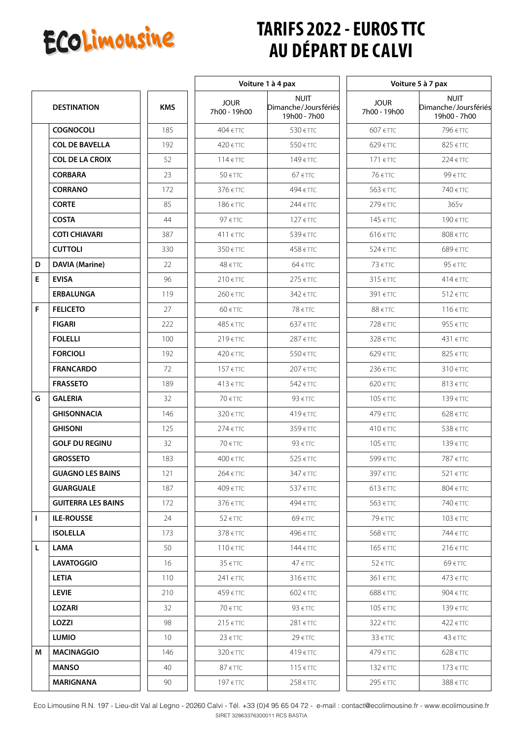

## **TARIFS 2022 - EUROS TTC AU DÉPART DE CALVI**

 $\overline{\phantom{a}}$ 

|   |                           |                 | Voiture 1 à 4 pax           |                                                     | Voiture 5 à 7 pax           |                                                     |
|---|---------------------------|-----------------|-----------------------------|-----------------------------------------------------|-----------------------------|-----------------------------------------------------|
|   | <b>DESTINATION</b>        | <b>KMS</b>      | <b>JOUR</b><br>7h00 - 19h00 | <b>NUIT</b><br>Dimanche/Joursfériés<br>19h00 - 7h00 | <b>JOUR</b><br>7h00 - 19h00 | <b>NUIT</b><br>Dimanche/Joursfériés<br>19h00 - 7h00 |
|   | <b>COGNOCOLI</b>          | 185             | $404$ $\in$ TTC             | 530 € TTC                                           | 607 € TTC                   | 796 € TTC                                           |
|   | <b>COL DE BAVELLA</b>     | 192             | 420 € TTC                   | 550 € TTC                                           | 629 € TTC                   | 825 € TTC                                           |
|   | <b>COL DE LA CROIX</b>    | 52              | $114$ $\in$ TTC             | 149 € TTC                                           | 171 € TTC                   | $224$ $\epsilon$ TTC                                |
|   | <b>CORBARA</b>            | 23              | 50 € TTC                    | $67$ $\epsilon$ TTC                                 | 76 € TTC                    | 99 € TTC                                            |
|   | <b>CORRANO</b>            | 172             | 376 € TTC                   | 494 € TTC                                           | 563 € TTC                   | 740 € TTC                                           |
|   | <b>CORTE</b>              | 85              | 186 € TTC                   | 244 € TTC                                           | 279 € TTC                   | 365 <sub>v</sub>                                    |
|   | <b>COSTA</b>              | 44              | 97 € TTC                    | $127$ $\epsilon$ TTC                                | 145 € TTC                   | 190 € TTC                                           |
|   | <b>COTI CHIAVARI</b>      | 387             | 411 € TTC                   | 539 € TTC                                           | 616 € TTC                   | 808 € TTC                                           |
|   | <b>CUTTOLI</b>            | 330             | 350 € TTC                   | 458 € TTC                                           | 524 € TTC                   | 689 € TTC                                           |
| D | <b>DAVIA (Marine)</b>     | 22              | $48 \text{ fT}$             | $64 \in TTC$                                        | $73$ $\epsilon$ TTC         | 95 € TTC                                            |
| E | <b>EVISA</b>              | 96              | $210$ $\epsilon$ TTC        | 275 € TTC                                           | 315 € TTC                   | 414 € TTC                                           |
|   | <b>ERBALUNGA</b>          | 119             | 260 € TTC                   | 342 € TTC                                           | 391 € TTC                   | 512 € TTC                                           |
| F | <b>FELICETO</b>           | 27              | $60$ $\in$ TTC              | 78 € TTC                                            | 88 € TTC                    | 116 € TTC                                           |
|   | <b>FIGARI</b>             | 222             | 485 € TTC                   | 637 € TTC                                           | 728 € TTC                   | 955 € TTC                                           |
|   | <b>FOLELLI</b>            | 100             | 219 € TTC                   | 287 € TTC                                           | 328 € TTC                   | 431 € TTC                                           |
|   | <b>FORCIOLI</b>           | 192             | 420 € TTC                   | 550 € TTC                                           | 629 € TTC                   | 825 € TTC                                           |
|   | <b>FRANCARDO</b>          | 72              | $157$ $\in$ TTC             | 207 € TTC                                           | 236 € TTC                   | 310 € TTC                                           |
|   | <b>FRASSETO</b>           | 189             | 413 € TTC                   | 542 € TTC                                           | 620 € TTC                   | $813$ $\in$ TTC                                     |
| G | <b>GALERIA</b>            | 32              | $70$ $\in$ TTC              | 93 $\epsilon$ TTC                                   | $105$ $\epsilon$ TTC        | 139 € TTC                                           |
|   | <b>GHISONNACIA</b>        | 146             | $320$ $\epsilon$ TTC        | $419$ $\epsilon$ TTC                                | 479 € TTC                   | 628 € TTC                                           |
|   | <b>GHISONI</b>            | 125             | 274 € TTC                   | 359 € TTC                                           | 410 € TTC                   | 538 € TTC                                           |
|   | <b>GOLF DU REGINU</b>     | 32              | 70 € TTC                    | 93 $\epsilon$ TTC                                   | 105 € TTC                   | 139 € TTC                                           |
|   | <b>GROSSETO</b>           | 183             | 400 € TTC                   | 525 € TTC                                           | 599 € TTC                   | 787 € TTC                                           |
|   | <b>GUAGNO LES BAINS</b>   | 121             | 264 € TTC                   | $347$ $\in$ TTC                                     | 397 € TTC                   | $521$ $\epsilon$ TTC                                |
|   | <b>GUARGUALE</b>          | 187             | 409 € TTC                   | 537 € TTC                                           | $613$ $\in$ TTC             | $804 \text{ fTTC}$                                  |
|   | <b>GUITERRA LES BAINS</b> | 172             | $376$ $\in$ TTC             | 494 € TTC                                           | 563 € TTC                   | 740 € TTC                                           |
| L | <b>ILE-ROUSSE</b>         | 24              | $52$ $\epsilon$ TTC         | 69 € TTC                                            | 79 € TTC                    | $103$ $\in$ TTC                                     |
|   | <b>ISOLELLA</b>           | 173             | $378$ $\in$ TTC             | 496 € TTC                                           | 568 € TTC                   | 744 € TTC                                           |
| Г | LAMA                      | 50              | $110$ $\in$ TTC             | 144 € TTC                                           | 165 € TTC                   | $216 \text{ ET}$                                    |
|   | <b>LAVATOGGIO</b>         | 16              | $35 \text{ f}$              | $47 \text{ fT}$                                     | $52$ $\epsilon$ TTC         | 69 € TTC                                            |
|   | <b>LETIA</b>              | 110             | 241 € TTC                   | $316$ $\in$ TTC                                     | 361 € TTC                   | 473 € TTC                                           |
|   | <b>LEVIE</b>              | 210             | $459$ $\in$ TTC             | $602$ $\in$ TTC                                     | 688 € TTC                   | 904 € TTC                                           |
|   | <b>LOZARI</b>             | 32              | $70$ $\epsilon$ TTC         | $93$ $\in$ TTC                                      | 105 € TTC                   | $139$ $\in$ TTC                                     |
|   | LOZZI                     | 98              | $215$ $\epsilon$ TTC        | 281 € TTC                                           | $322$ $\epsilon$ TTC        | $422$ $\epsilon$ TTC                                |
|   | <b>LUMIO</b>              | 10 <sup>°</sup> | $23 \text{ f}$              | $29$ $\epsilon$ TTC                                 | $33$ $\epsilon$ TTC         | $43$ $\in$ TTC                                      |
| M | <b>MACINAGGIO</b>         | 146             | $320$ $\in$ TTC             | $419$ $\in$ TTC                                     | 479 € TTC                   | $628$ $\in$ TTC                                     |
|   | <b>MANSO</b>              | 40              | $87 \text{ fT}$             | $115$ $\epsilon$ TTC                                | 132 € TTC                   | $173$ $\epsilon$ TTC                                |
|   | <b>MARIGNANA</b>          | 90              | 197 € TTC                   | 258 € TTC                                           | 295 €TTC                    | 388 € TTC                                           |

Eco Limousine R.N. 197 - Lieu-dit Val al Legno - 20260 Calvi - Tél. +33 (0)4 95 65 04 72 - e-mail : contact@ecolimousine.fr - www.ecolimousine.fr SIRET 32863376300011 RCS BASTIA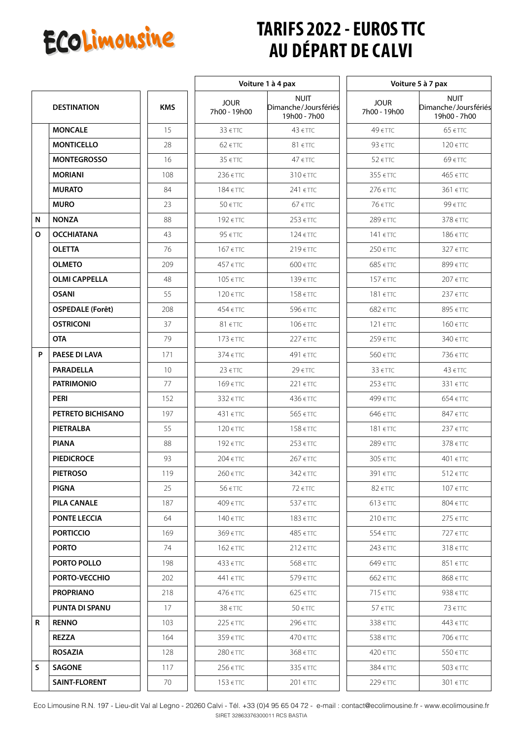

## **TARIFS 2022 - EUROS TTC AU DÉPART DE CALVI**

 $\overline{\phantom{a}}$ 

|   |                         |            | Voiture 1 à 4 pax           |                                                     | Voiture 5 à 7 pax           |                                                     |
|---|-------------------------|------------|-----------------------------|-----------------------------------------------------|-----------------------------|-----------------------------------------------------|
|   | <b>DESTINATION</b>      | <b>KMS</b> | <b>JOUR</b><br>7h00 - 19h00 | <b>NUIT</b><br>Dimanche/Joursfériés<br>19h00 - 7h00 | <b>JOUR</b><br>7h00 - 19h00 | <b>NUIT</b><br>Dimanche/Joursfériés<br>19h00 - 7h00 |
|   | <b>MONCALE</b>          | 15         | 33 € TTC                    | $43 \text{ } \in \text{TTC}$                        | 49 € TTC                    | 65 € TTC                                            |
|   | <b>MONTICELLO</b>       | 28         | $62$ $\in$ TTC              | $81 \text{ f}$                                      | 93 € TTC                    | 120 € TTC                                           |
|   | <b>MONTEGROSSO</b>      | 16         | $35 \text{ f}$              | $47 \text{ fT}$                                     | 52 € TTC                    | 69 € TTC                                            |
|   | <b>MORIANI</b>          | 108        | 236 € TTC                   | 310 € TTC                                           | 355 € TTC                   | 465 € TTC                                           |
|   | <b>MURATO</b>           | 84         | 184 € TTC                   | 241 € TTC                                           | 276 € TTC                   | 361 € TTC                                           |
|   | <b>MURO</b>             | 23         | 50 € TTC                    | $67 \in TTC$                                        | 76 € TTC                    | 99 € TTC                                            |
| N | <b>NONZA</b>            | 88         | 192 € TTC                   | 253 € TTC                                           | 289 € TTC                   | 378 € TTC                                           |
| O | <b>OCCHIATANA</b>       | 43         | 95 € TTC                    | 124 € TTC                                           | 141 € TTC                   | 186 € TTC                                           |
|   | <b>OLETTA</b>           | 76         | 167 € TTC                   | 219 € TTC                                           | 250 € TTC                   | 327 € TTC                                           |
|   | <b>OLMETO</b>           | 209        | 457 € TTC                   | 600 € TTC                                           | 685 € TTC                   | 899 € TTC                                           |
|   | <b>OLMI CAPPELLA</b>    | 48         | 105 € TTC                   | 139 € TTC                                           | 157 € TTC                   | 207 € TTC                                           |
|   | <b>OSANI</b>            | 55         | 120 € TTC                   | 158 € TTC                                           | 181 €TTC                    | 237 € TTC                                           |
|   | <b>OSPEDALE (Forêt)</b> | 208        | 454 € TTC                   | 596 € TTC                                           | 682 € TTC                   | 895 € TTC                                           |
|   | <b>OSTRICONI</b>        | 37         | 81 € TTC                    | 106 € TTC                                           | 121 €TTC                    | 160 € TTC                                           |
|   | <b>OTA</b>              | 79         | 173 € TTC                   | 227 €TTC                                            | 259 € TTC                   | 340 € TTC                                           |
| P | <b>PAESE DI LAVA</b>    | 171        | 374 € TTC                   | 491 € TTC                                           | 560 € TTC                   | 736 € TTC                                           |
|   | <b>PARADELLA</b>        | 10         | $23 \text{ f}$              | 29 € TTC                                            | 33 € TTC                    | $43 \text{ } \in$ TTC                               |
|   | <b>PATRIMONIO</b>       | 77         | 169 € TTC                   | 221 € TTC                                           | 253 € TTC                   | 331 € TTC                                           |
|   | PERI                    | 152        | 332 € TTC                   | 436 € TTC                                           | 499 € TTC                   | 654 € TTC                                           |
|   | PETRETO BICHISANO       | 197        | 431 € TTC                   | 565 € TTC                                           | 646 € TTC                   | 847 € TTC                                           |
|   | PIETRALBA               | 55         | 120 € TTC                   | 158 € TTC                                           | 181 € TTC                   | 237 € TTC                                           |
|   | <b>PIANA</b>            | 88         | 192 € TTC                   | 253 € TTC                                           | 289 € TTC                   | $378$ $\epsilon$ TTC                                |
|   | <b>PIEDICROCE</b>       | 93         | 204 € TTC                   | 267 € TTC                                           | 305 € TTC                   | 401 € TTC                                           |
|   | <b>PIETROSO</b>         | 119        | $260$ $\in$ TTC             | $342$ $\in$ TTC                                     | 391 €TTC                    | $512$ $\in$ TTC                                     |
|   | <b>PIGNA</b>            | 25         | $56 \in TTC$                | $72$ $\epsilon$ TTC                                 | $82$ $\epsilon$ TTC         | $107$ $\epsilon$ TTC                                |
|   | <b>PILA CANALE</b>      | 187        | 409 € TTC                   | $537$ $\in$ TTC                                     | $613$ $\in$ TTC             | 804 € TTC                                           |
|   | <b>PONTE LECCIA</b>     | 64         | $140$ $\in$ TTC             | 183 € TTC                                           | $210$ $\epsilon$ TTC        | $275$ $\epsilon$ TTC                                |
|   | <b>PORTICCIO</b>        | 169        | 369 € TTC                   | 485 € TTC                                           | 554 € TTC                   | 727 € TTC                                           |
|   | <b>PORTO</b>            | 74         | 162 € TTC                   | $212$ $\epsilon$ TTC                                | 243 € TTC                   | $318$ $\in$ TTC                                     |
|   | PORTO POLLO             | 198        | $433$ $\in$ TTC             | 568 € TTC                                           | 649 € TTC                   | 851 € TTC                                           |
|   | PORTO-VECCHIO           | 202        | 441 € TTC                   | 579 € TTC                                           | 662 € TTC                   | 868 € TTC                                           |
|   | <b>PROPRIANO</b>        | 218        | $476$ $\in$ TTC             | $625$ $\in$ TTC                                     | $715$ $\in$ TTC             | $938$ $\in$ TTC                                     |
|   | <b>PUNTA DI SPANU</b>   | 17         | $38 \text{ fT}$             | $50 \in TTC$                                        | 57 €TTC                     | $73$ $\epsilon$ TTC                                 |
| R | <b>RENNO</b>            | 103        | $225$ $\epsilon$ TTC        | 296 € TTC                                           | 338 € TTC                   | 443 € TTC                                           |
|   | <b>REZZA</b>            | 164        | $359$ $\in$ TTC             | 470 € TTC                                           | $538$ $\in$ TTC             | 706 € TTC                                           |
|   | <b>ROSAZIA</b>          | 128        | $280$ $\in$ TTC             | 368 € TTC                                           | 420 € TTC                   | 550 € TTC                                           |
| S | <b>SAGONE</b>           | 117        | $256$ $\in$ TTC             | $335$ $\in$ TTC                                     | 384 € TTC                   | $503$ $\in$ TTC                                     |
|   | SAINT-FLORENT           | 70         | $153$ $\in$ TTC             | $201$ $\in$ TTC                                     | $229$ $\in$ TTC             | $301$ $\in$ TTC                                     |

Eco Limousine R.N. 197 - Lieu-dit Val al Legno - 20260 Calvi - Tél. +33 (0)4 95 65 04 72 - e-mail : contact@ecolimousine.fr - www.ecolimousine.fr SIRET 32863376300011 RCS BASTIA